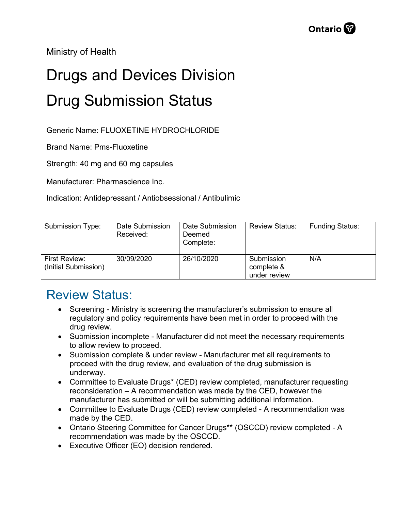Ministry of Health

## Drugs and Devices Division Drug Submission Status

Generic Name: FLUOXETINE HYDROCHLORIDE

Brand Name: Pms-Fluoxetine

Strength: 40 mg and 60 mg capsules

Manufacturer: Pharmascience Inc.

Indication: Antidepressant / Antiobsessional / Antibulimic

| <b>Submission Type:</b>               | Date Submission<br>Received: | Date Submission<br>Deemed<br>Complete: | <b>Review Status:</b>                    | <b>Funding Status:</b> |
|---------------------------------------|------------------------------|----------------------------------------|------------------------------------------|------------------------|
| First Review:<br>(Initial Submission) | 30/09/2020                   | 26/10/2020                             | Submission<br>complete &<br>under review | N/A                    |

## Review Status:

- Screening Ministry is screening the manufacturer's submission to ensure all regulatory and policy requirements have been met in order to proceed with the drug review.
- Submission incomplete Manufacturer did not meet the necessary requirements to allow review to proceed.
- Submission complete & under review Manufacturer met all requirements to proceed with the drug review, and evaluation of the drug submission is underway.
- Committee to Evaluate Drugs\* (CED) review completed, manufacturer requesting reconsideration – A recommendation was made by the CED, however the manufacturer has submitted or will be submitting additional information.
- Committee to Evaluate Drugs (CED) review completed A recommendation was made by the CED.
- Ontario Steering Committee for Cancer Drugs\*\* (OSCCD) review completed A recommendation was made by the OSCCD.
- Executive Officer (EO) decision rendered.